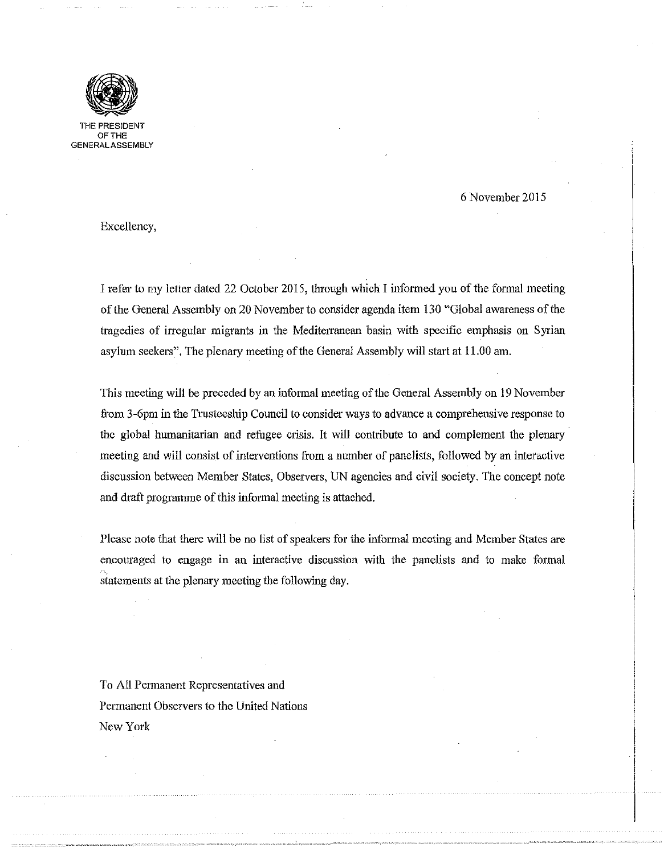

THE PRESIDENT OFTHE GENERALASSEMBLY

### 6 November 2015

Excellency,

1 refer to my letter dated 22 October 2015, through which I informed you of the formal meeting of the General Assembly on 20 November to consider agenda item 130 "Global awareness of the tragedies of irregular migrants in the Mediterranean basin with specific emphasis on Syrian asylum seekers". The plenary meeting of the General Assembly will start at 11.00 am.

This meeting will be preceded by an informal meeting of the General Assembly on 19 November from 3-6pm in the Trusteeship Council to consider ways to advance a comprehensive response to the global humanitarian and refugee crisis. It will contribute to and complement the plenary meeting and will consist of interventions from a number of panelists, followed by an interactive discussion between Member States, Observers, UN agencies and civil society. The concept note and draft programme of this informal meeting is attached.

Please note that there will be no list of speakers for the informal meeting and Member States are encouraged to engage in an interactive discussion with the panelists and to make formal statements at the plenary meeting the following day.

To All Permanent Representatives and Permanent Observers to the United Nations New York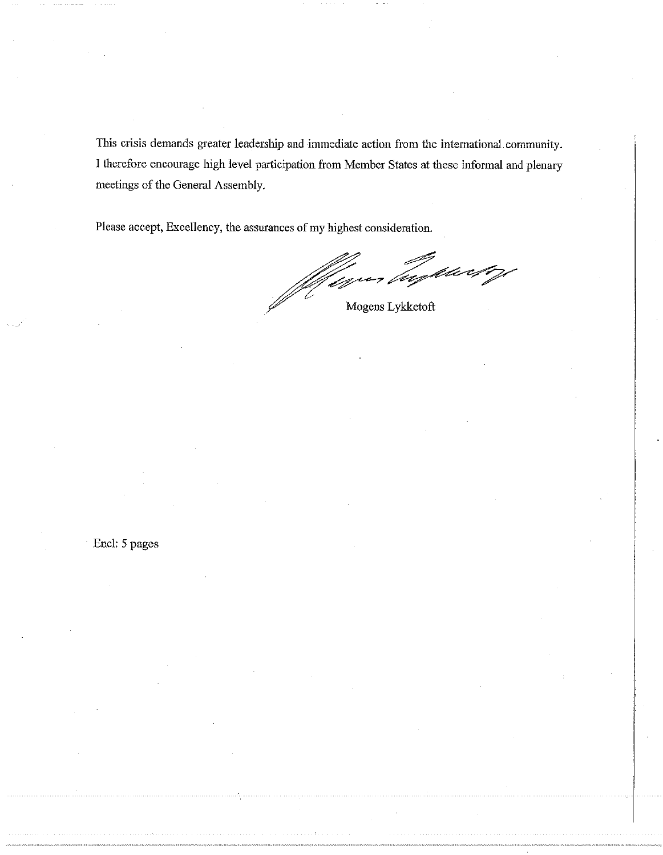This crisis demands greater leadership and immediate action from the international. community. I therefore encourage high level participation from Member States at these informal and plenary meetings of the General Assembly.

Please accept, Excellency, the assurances of my highest consideration.

iyun fr Mogens Lykketoft

Enc1: 5 pages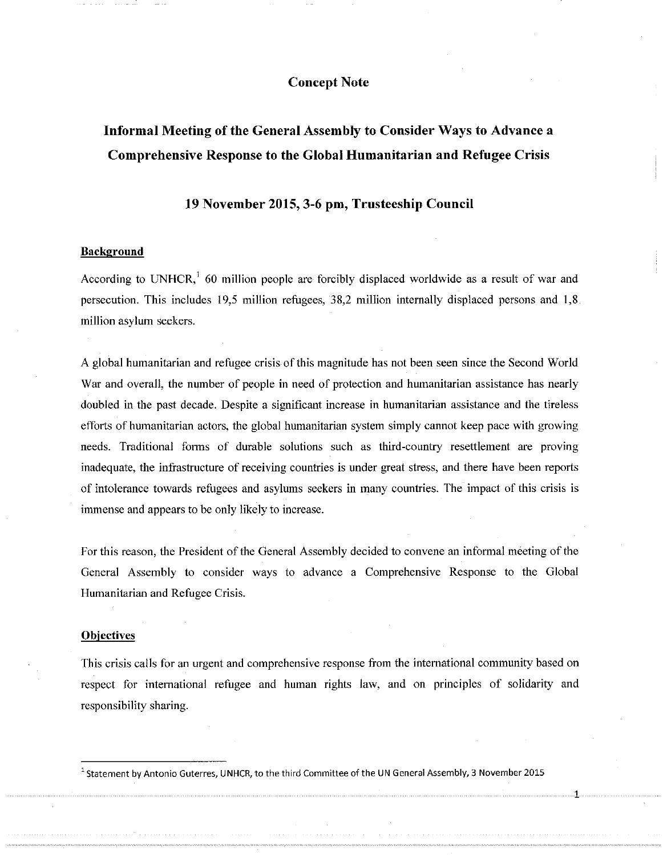## Concept Note

# Informal Meeting of the General Assembly to Consider Ways to Advance a Comprehensive Response to the Global Humanitarian and Refugee Crisis

## 19 November 2015, 3-6 pm, Trusteeship Council

#### **Background**

According to UNHCR,<sup>1</sup> 60 million people are forcibly displaced worldwide as a result of war and persecution. This includes 19,5 million refugees, 38,2 million internally displaced persons and 1,8. million asylum seekers.

A global humanitarian and refugee crisis of this magnitude has not been seen since the Second World War and overall, the number of people in need of protection and humanitarian assistance has nearly doubled in the past decade. Despite a significant increase in humanitarian assistance and the tireless efforts of humanitarian actors, the global humanitarian system simply cannot keep pace with growing needs. Traditional forms of durable solutions such as third-country resettlement are proving inadequate, the infrastructure of receiving countries is under great stress, and there have been reports of intolerance towards refugees and asylums seekers in many countries. The impact of this crisis is immense and appears to be only likely to increase.

For this reason, the President of the General Assembly decided to convene an informal meeting of the General Assembly to consider ways to advance a Comprehensive Response to the Global Humanitarian and Refugee Crisis.

#### **Objectives**

This crisis calls for an urgent and comprehensive response from the international community based on respect for international refugee and human rights law, and on principles of solidarity and responsibility sharing.

<sup>1</sup>Statement by Antonio Guterres, **UNHCR,** to the third Committee of the **UN** General Assembly, 3 November 2015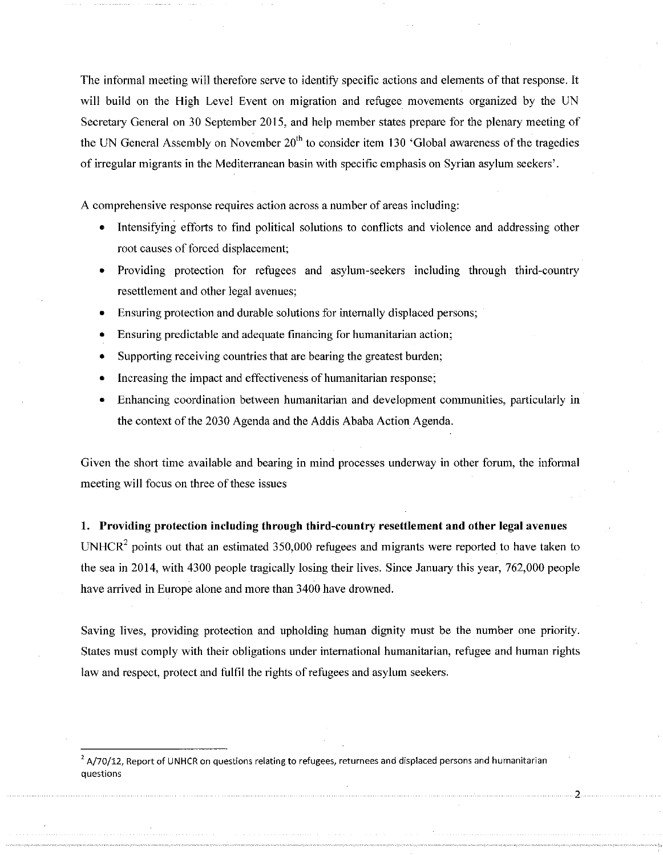The informal meeting will therefore serve to identify specific actions and elements of that response. It will build on the High Level Event on migration and refugee movements organized by the UN Secretary General on 30 September 2015, and help member states prepare for the plenary meeting of the UN General Assembly on November  $20<sup>th</sup>$  to consider item 130 'Global awareness of the tragedies of irregular migrants in the Mediterranean basin with specific emphasis on Syrian asylum seekers'.

A comprehensive response requires action across a number of areas including:

- Intensifying efforts to find political solutions to conflicts and violence and addressing other root causes of forced displacement;
- Providing protection for refugees and asylum-seekers including through third-country resettlement and other legal avenues;
- Ensuring protection and durable solutions for internally displaced persons;
- Ensuring predictable and adequate financing for humanitarian action;
- Supporting receiving countries that are bearing the greatest burden;
- Increasing the impact and effectiveness of humanitarian response;
- Enhancing coordination between humanitarian and development communities, particularly in the context of the 2030 Agenda and the Addis Ababa Action Agenda.

Given the short time available and bearing in mind processes underway in other forum, the informal meeting will focus on three of these issues

## **1. Providing protection inclnding through third-country resettlement and other legal avenues**

UNHCR<sup>2</sup> points out that an estimated 350,000 refugees and migrants were reported to have taken to the sea in 2014, with 4300 people tragically losing their lives. Since January this year, 762,000 people have arrived in Europe alone and more than 3400 have drowned.

Saving lives, providing protection and upholding human dignity must be the number one priority. States must comply with their obligations under international humanitarian, refugee and human rights law and respect, protect and fulfil the rights of refugees and asylum seekers.

<sup>2</sup> A/70/12, Report of UNHCR on questions relating to refugees, returnees and displaced persons and humanitarian **questions**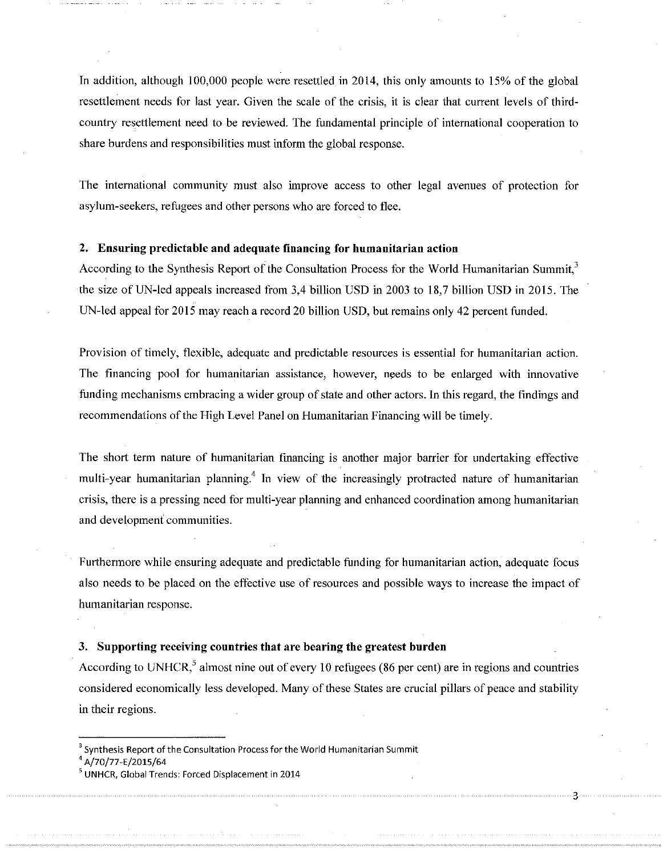In addition, although 100,000 people were resettled in 2014, this only amounts to 15% of the global resettlement needs for last year, Given the scale of the crisis, it is clear that current levels of thirdcountry resettlement need to be reviewed. The fundamental principle of international cooperation to share burdens and responsibilities must inform the global response.

The international community must also improve access to other legal avenues of protection for asylum-seekers, refugees and other persons who are forced to flee.

#### 2. Ensuring predictable and adequate financing for humanitarian action

According to the Synthesis Report of the Consultation Process for the World Humanitarian Summit.<sup>3</sup> the size of UN-led appeals increased from 3,4 billion USD in 2003 to 18,7 billion USD in 2015. The UN-led appeal for 2015 may reach a record 20 billion USD, but remains only 42 percent funded.

Provision of timely, flexible, adequate and predictable resources is essential for humanitarian action. The financing pool for humanitarian assistance, however, needs to be enlarged with innovative funding mechanisms embracing a wider group of state and other actors. In this regard, the findings and recommendations of the High Level Panel on Humanitarian Financing will be timely.

The short term nature of humanitarian financing is another major barrier for undertaking effective multi-year humanitarian planning.<sup>4</sup> In view of the increasingly protracted nature of humanitarian crisis, there is a pressing need for multi-year planning and enhanced coordination among humanitarian and development communities.

Furthermore while ensuring adequate and predictable funding for humanitarian action, adequate focus also needs to be placed on the effective use of resources and possible ways to increase the impact of humanitarian response.

#### 3. Supporting receiving countries that are bearing the greatest burden

According to UNHCR,<sup>5</sup> almost nine out of every 10 refugees (86 per cent) are in regions and countries considered economically less developed. Many of these States are crucial pillars of peace and stability in their regions.

<sup>&</sup>lt;sup>3</sup> Synthesis Report of the Consultation Process for the World Humanitarian Summit

<sup>&</sup>lt;sup>4</sup> A/70/77-E/2015/64

<sup>&</sup>lt;sup>5</sup> UNHCR, Global Trends: Forced Displacement in 2014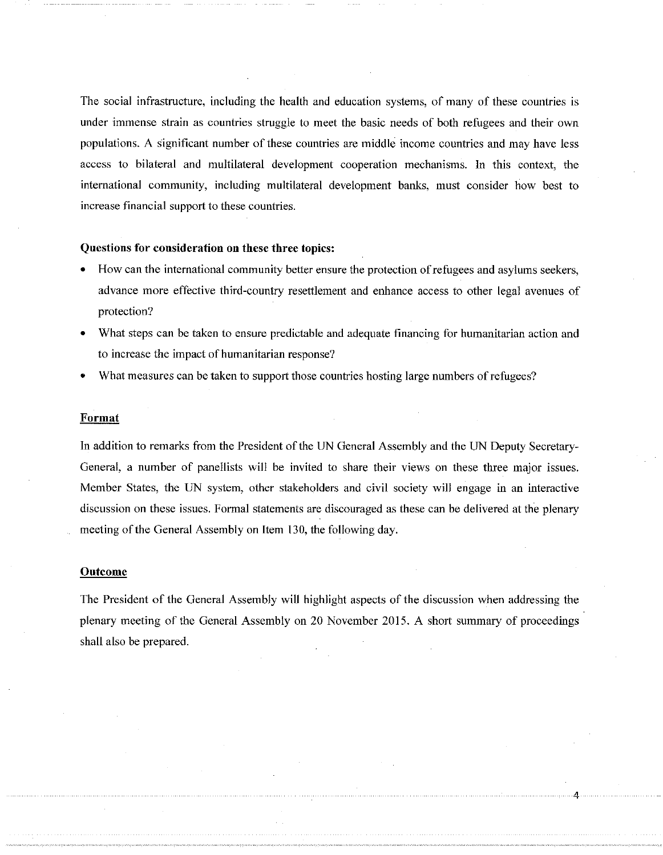The social infrastructure, including the health and education systems, of many of these countries is under immense strain as countries struggle to meet the basic needs of both refugees and their own populations. A significant number of these countries are middle income countries and may have less access to bilateral and multilateral development cooperation mechanisms. In this context, the international community, including multilateral development banks, must consider how best to increase financial support to these countries.

#### Questions for consideration on these three topics:

- How can the international community better ensure the protection of refugees and asylums seekers, advance more effective third-country resettlement and enhance access to other legal avenues of protection?
- What steps can be taken to ensure predictable and adequate financing for humanitarian action and to increase the impact of humanitarian response?
- What measures can be taken to support those countries hosting large numbers of refugees?

#### Format

In addition to remarks from the President of the UN General Assembly and the UN Deputy Secretary-General, a number of panellists will be invited to share their views on these three major issues. Member States, the UN system, other stakeholders and civil society will engage in an interactive discussion on these issues. Formal statements are discouraged as these can be delivered at the plenary meeting of the General Assembly on Item 130, the following day.

#### **Outcome**

The President of the General Assembly will highlight aspects of the discussion when addressing the plenary meeting of the General Assembly on 20 November 2015. A short summary of proceedings shall also be prepared.